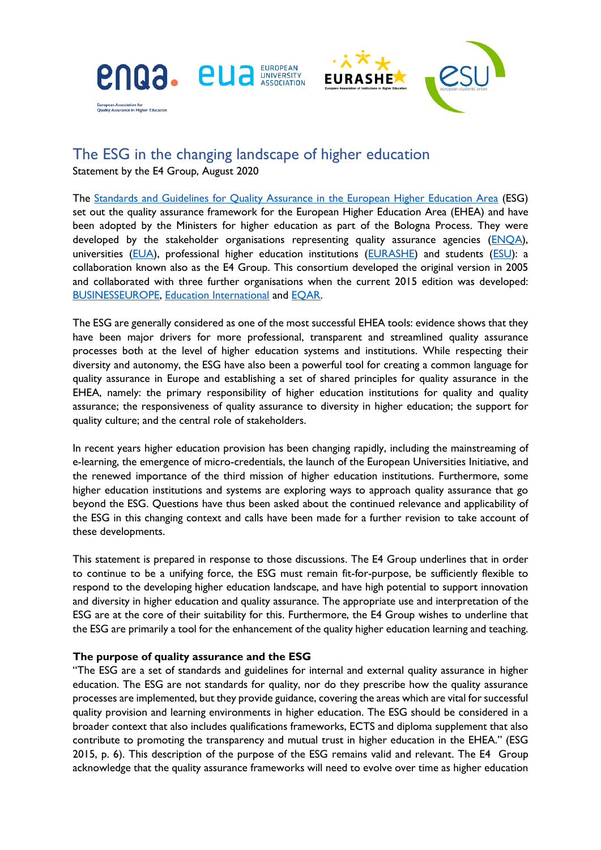



# The ESG in the changing landscape of higher education Statement by the E4 Group, August 2020

The [Standards and Guidelines for Quality Assurance in the European Higher Education Area](https://www.eua.eu/resources/publications/743:standards-and-guidelines-for-quality-assurance-in-the-european-higher-education-area-esg.html) (ESG) set out the quality assurance framework for the European Higher Education Area (EHEA) and have been adopted by the Ministers for higher education as part of the Bologna Process. They were developed by the stakeholder organisations representing quality assurance agencies ( $ENQA$ ), universities [\(EUA\)](http://www.eua.eu/), professional higher education institutions [\(EURASHE\)](https://www.eurashe.eu/) and students [\(ESU\)](https://www.esu-online.org/): a collaboration known also as the E4 Group. This consortium developed the original version in 2005 and collaborated with three further organisations when the current 2015 edition was developed: [BUSINESSEUROPE, Education International](https://www.businesseurope.eu/) and [EQAR.](https://www.eqar.eu/)

The ESG are generally considered as one of the most successful EHEA tools: evidence shows that they have been major drivers for more professional, transparent and streamlined quality assurance processes both at the level of higher education systems and institutions. While respecting their diversity and autonomy, the ESG have also been a powerful tool for creating a common language for quality assurance in Europe and establishing a set of shared principles for quality assurance in the EHEA, namely: the primary responsibility of higher education institutions for quality and quality assurance; the responsiveness of quality assurance to diversity in higher education; the support for quality culture; and the central role of stakeholders.

In recent years higher education provision has been changing rapidly, including the mainstreaming of e-learning, the emergence of micro-credentials, the launch of the European Universities Initiative, and the renewed importance of the third mission of higher education institutions. Furthermore, some higher education institutions and systems are exploring ways to approach quality assurance that go beyond the ESG. Questions have thus been asked about the continued relevance and applicability of the ESG in this changing context and calls have been made for a further revision to take account of these developments.

This statement is prepared in response to those discussions. The E4 Group underlines that in order to continue to be a unifying force, the ESG must remain fit-for-purpose, be sufficiently flexible to respond to the developing higher education landscape, and have high potential to support innovation and diversity in higher education and quality assurance. The appropriate use and interpretation of the ESG are at the core of their suitability for this. Furthermore, the E4 Group wishes to underline that the ESG are primarily a tool for the enhancement of the quality higher education learning and teaching.

# **The purpose of quality assurance and the ESG**

"The ESG are a set of standards and guidelines for internal and external quality assurance in higher education. The ESG are not standards for quality, nor do they prescribe how the quality assurance processes are implemented, but they provide guidance, covering the areas which are vital for successful quality provision and learning environments in higher education. The ESG should be considered in a broader context that also includes qualifications frameworks, ECTS and diploma supplement that also contribute to promoting the transparency and mutual trust in higher education in the EHEA." (ESG 2015, p. 6). This description of the purpose of the ESG remains valid and relevant. The E4 Group acknowledge that the quality assurance frameworks will need to evolve over time as higher education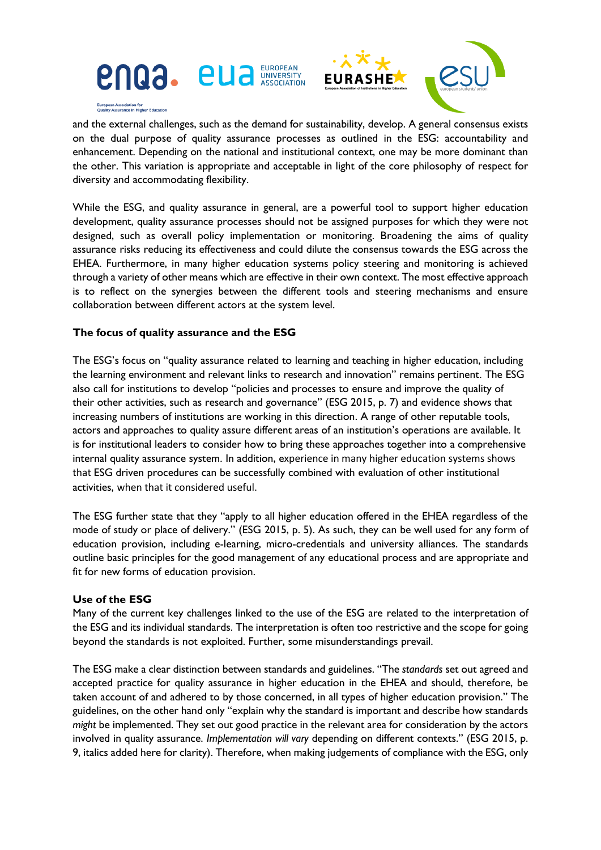



and the external challenges, such as the demand for sustainability, develop. A general consensus exists on the dual purpose of quality assurance processes as outlined in the ESG: accountability and enhancement. Depending on the national and institutional context, one may be more dominant than the other. This variation is appropriate and acceptable in light of the core philosophy of respect for diversity and accommodating flexibility.

While the ESG, and quality assurance in general, are a powerful tool to support higher education development, quality assurance processes should not be assigned purposes for which they were not designed, such as overall policy implementation or monitoring. Broadening the aims of quality assurance risks reducing its effectiveness and could dilute the consensus towards the ESG across the EHEA. Furthermore, in many higher education systems policy steering and monitoring is achieved through a variety of other means which are effective in their own context. The most effective approach is to reflect on the synergies between the different tools and steering mechanisms and ensure collaboration between different actors at the system level.

# **The focus of quality assurance and the ESG**

The ESG's focus on "quality assurance related to learning and teaching in higher education, including the learning environment and relevant links to research and innovation" remains pertinent. The ESG also call for institutions to develop "policies and processes to ensure and improve the quality of their other activities, such as research and governance" (ESG 2015, p. 7) and evidence shows that increasing numbers of institutions are working in this direction. A range of other reputable tools, actors and approaches to quality assure different areas of an institution's operations are available. It is for institutional leaders to consider how to bring these approaches together into a comprehensive internal quality assurance system. In addition, experience in many higher education systems shows that ESG driven procedures can be successfully combined with evaluation of other institutional activities, when that it considered useful.

The ESG further state that they "apply to all higher education offered in the EHEA regardless of the mode of study or place of delivery." (ESG 2015, p. 5). As such, they can be well used for any form of education provision, including e-learning, micro-credentials and university alliances. The standards outline basic principles for the good management of any educational process and are appropriate and fit for new forms of education provision.

### **Use of the ESG**

Many of the current key challenges linked to the use of the ESG are related to the interpretation of the ESG and its individual standards. The interpretation is often too restrictive and the scope for going beyond the standards is not exploited. Further, some misunderstandings prevail.

The ESG make a clear distinction between standards and guidelines. "The *standards* set out agreed and accepted practice for quality assurance in higher education in the EHEA and should, therefore, be taken account of and adhered to by those concerned, in all types of higher education provision." The guidelines, on the other hand only "explain why the standard is important and describe how standards *might* be implemented. They set out good practice in the relevant area for consideration by the actors involved in quality assurance. *Implementation will vary* depending on different contexts." (ESG 2015, p. 9, italics added here for clarity). Therefore, when making judgements of compliance with the ESG, only